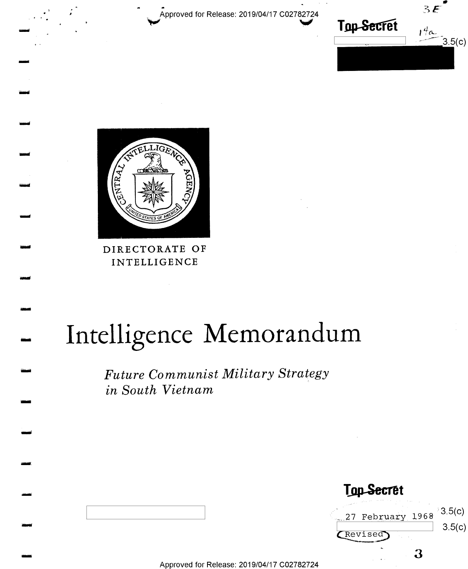Approved for Release: 2019/04/17 C02782724





DIRECTORATE OF INTELLIGENCE

# Intelligence Memorandum

**Future Communist Military Strategy** in South Vietnam

**Top Secret**  $3.5(c)$ 27 February 1968  $3.5(c)$ CRevised 3

Approved for Release: 2019/04/17 C02782724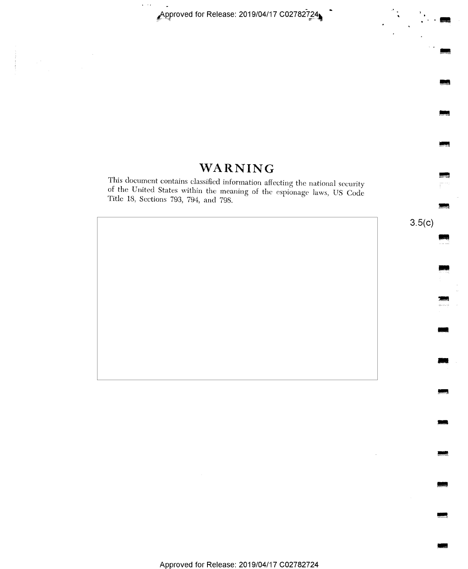Approved for Release: 2019/04/17 C02782724

 $\ddot{\phantom{a}}$ 

 $\ddot{\phantom{0}}$ 

## WARNING

This document contains classified information affecting the national security of the United States within the meaning of the espionage laws, US Code Title 18, Sections 793, 794, and 798.

 $3.5(c)$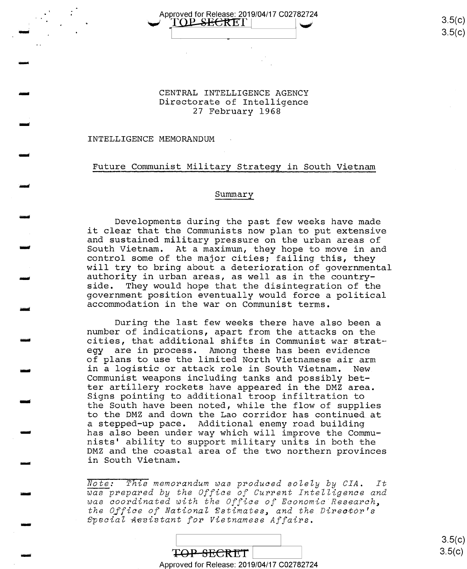Approved for Release: 2019/04/17 C02782724<br>  $\begin{array}{c} \bigcup_{i=1}^n \mathbb{C}[X \times Y] \setminus \mathbb{C}[X \times Y] \setminus \mathbb{C}[X \times Y] \setminus \mathbb{C}[X \times Y] \setminus \mathbb{C}[X \times Y] \setminus \mathbb{C}[X \times Y] \setminus \mathbb{C}[X \times Y] \setminus \mathbb{C}[X \times Y] \setminus \mathbb{C}[X \times Y] \setminus \mathbb{C}[X \times Y] \setminus \mathbb{C}[X \times Y] \setminus \mathbb{C}[$ 

 $3.5(c)$  $3.5 (c)$ 

## CENTRAL INTELLIGENCE AGENCY Directorate of Intelligence 27 February 1968

#### INTELLIGENCE MEMORANDUM

and

and

mini

i<br>in 1919<br>in 1919

**أنست**<br>أ

MN

will

and

uni

and

i<br>in 1960<br>in 1970

لاستنت

i<br>in

<u>الأسماء</u><br>ا

أكسستا

MI

mun

u-an

#### Future Communist Military Strategy in South Vietnam

#### Summary

Developments during the past few weeks have made it clear that the Communists now plan to put extensive<br>and sustained military pressure on the urban areas of South Vietnam. At a maximum, they hope to move in and<br>control some of the major cities; failing this, they<br>will try to bring about a deterioration of governmental<br>authority in urban areas, as well as in the country-<br>side. government position eventually would force a political accommodation in the war on Communist terms.

During the last few weeks there have also been a<br>number of indications, apart from the attacks on the cities, that additional shifts in Communist war strat-<br>egy are in process. Among these has been evidence of plans to use the limited North Vietnamese air arm<br>in a logistic or attack role in South Vietnam. New Communist weapons including tanks and possibly bet-<br>ter artillery rockets have appeared in the DMZ area. Signs pointing to additional troop infiltration to the South have been noted, while the flow of supplies to the DMZ and down the Lao corridor has continued at a stepped—up pace. Additional enemy road building has also been under way which will improve the Commu-<br>nists' ability to support military units in both the DMZ and the coastal area of the two northern provinces in South Vietnam.

Note: This memorandum was produced solely by CIA. It<br>was prepared by the Office of Current Intelligence and was coordinated with the Office of Economic Research, the Qffice of National Estimates, and the Director's Special Assistant for Vietnamese Affairs.



 $3.5(c)$  $3.5(c)$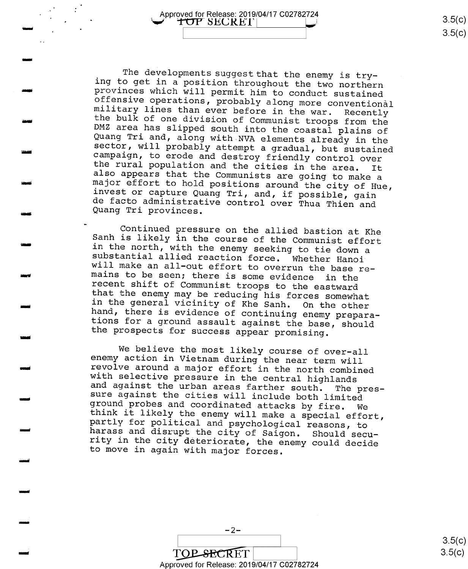The developments suggest that the enemy is trying to get in a position throughout the two northern provinces which will permit him to conduct sustained offensive operations, probably along more conventional military lines than ever before in the war. Recently the bulk of one division of Communist troops from the DMZ area has slipped south into the coastal plains of Quang Tri and, along with NVA elements already in the sector, will probably attempt a gradual, but sustained campaign, to erode and destroy friendly control over the rural population and the cities in the area. It also appears that the Communists are going to make a major effort to hold positions around the city of Hue, invest or capture Quang Tri, and, if possible, gain de facto administrative control over Thua Thien and Quang Tri provinces.

Continued pressure on the allied bastion at Khe Sanh is likely in the course of the Communist effort in the north, with the enemy seeking to tie down a substantial allied reaction force. Whether Hanoi will make an all-out effort to overrun the base remains to be seen; there is some evidence in the recent shift of Communist troops to the eastward that the enemy may be reducing his forces somewhat in the general vicinity of Khe Sanh. On the other hand, there is evidence of continuing enemy preparations for a ground assault against the base, should the prospects for success appear promising.

We believe the most likely course of over-all enemy action in Vietnam during the near term will revolve around a major effort in the north combined with selective pressure in the central highlands and against the urban areas farther south. The pressure against the cities will include both limited ground probes and coordinated attacks by fire. We think it likely the enemy will make a special effort, partly for political and psychological reasons, to harass and disrupt the city of Saigon. Should security in the city deteriorate, the enemy could decide to move in again with major forces.

> $-2-$ TOP SECRET

Approved for Release: 2019/04/17 C02782724

 $3.5(c)$  $3.5(c)$ 

 $3.5(c)$ 

 $3.5(c)$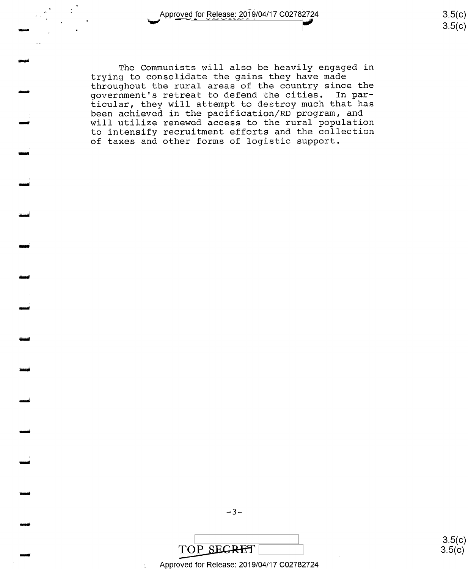Approved for Release: 2019/04/17 C02782724

 $3.5(c)$  $3.5(c)$ 

The Communists will also be heavily engaged in trying to consolidate the gains they have made throughout the rural areas of the country since the government's retreat to defend the cities. In particular, they will attempt to destroy much that has been achieved in the pacification/RD program, and will utilize renewed access to the rural population to intensify recruitment efforts and the collection of taxes and other forms of logistic support.

TOP SECRET

 $3.5(c)$  $3.5(c)$ 

Approved for Release: 2019/04/17 C02782724

 $-3-$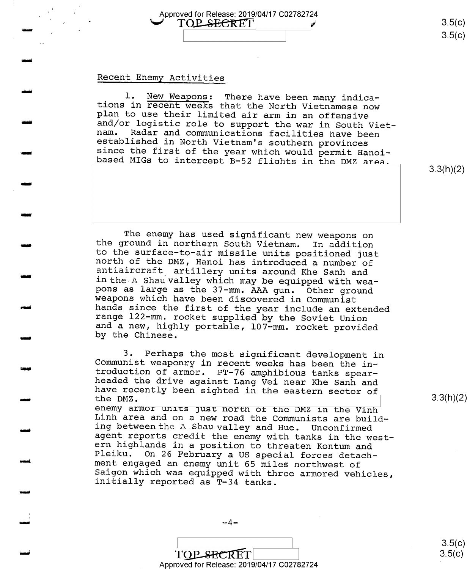Approved for Release: 2019/04/17 C02782724<br> $\blacktriangledown$   $\text{TOP}$  SECRET

#### Recent Enemy Activities

any ary area any ara-daharanjarahasi dan diarah.<br>Pangyakan

%i'

ا **انتهابان**<br>|

an

uni

In

4-H

MN

تزرعت

fill

and

أتعمس

www.com

nun

1:31

iuusi

1. New Weapons: There have been many indica-<br>tions in recent weeks that the North Vietnamese now<br>plan to use their limited air arm in an offensive<br>and/or logistic role to support the war in South Viet-<br>nam. Radar and commu

 $3.3(h)(2)$ 

 $\overline{\rm (c)}$ 

 $3.5(c)$ 

The enemy has used significant new weapons on<br>the ground in northern South Vietnam. In addition<br>to the surface-to-air missile units positioned just<br>north of the DMZ, Hanoi has introduced a number of<br>antiaircraft artillery

3. Perhaps the most significant development in<br>Communist weaponry in recent weeks has been the in-<br>troduction of armor. PT-76 amphibious tanks spear-<br>headed the drive against Lang Vei near Khe Sanh and<br>have recently been s ing between the A Shau valley and Hue. Unconfirmed<br>agent reports credit the enemy with tanks in the west-<br>ern highlands in a position to threaten Kontum and<br>Pleiku. On 26 February a US special forces detach-<br>ment engaged a

 $3.5(c)$ 

 $-4-$ 

 $\begin{array}{ccc} \hline \end{array}$  s.5(t)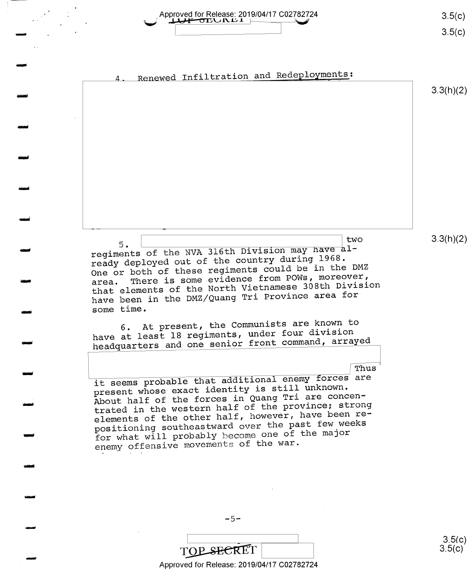Approved for Release: 2019/04/17 C02782724 <del>-o</del>e∪ndi |

 $3.5(c)$  $3.5(c)$ 



**TOP SECRET** Approved for Release: 2019/04/17 C02782724

 $-5-$ 

 $3.5(c)$  $3.5(c)$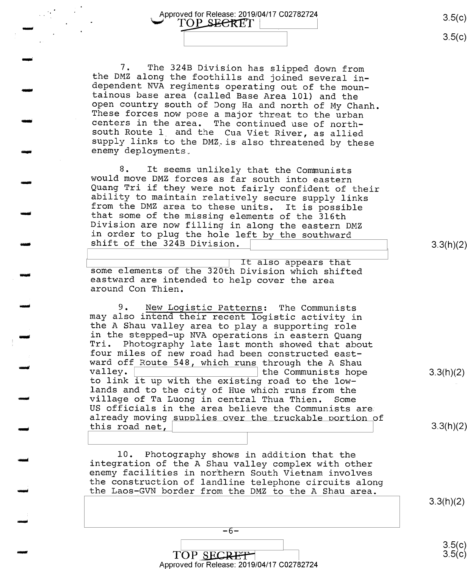Approved for Release: 2019/04/17 C02782724<br>  $\begin{array}{r|c|c|c|c} \hline \text{TOP\_SECRET} & & & \end{array}$ 

1'

nu

an

null

was

MUN

an

HIS

MIN

i<br>in de la posta de la posta de la posta de la posta de la posta de la posta de la posta de la posta de la post<br>in de la posta de la posta de la posta de la posta de la posta de la posta de la posta de la posta de la post<br>

WIN

dud

i<br>internati<br>internati

-"MUN

wu

mu

i

 $3.5(c)$ 

 $3.5(c)$ 

7. The 324B Division has slipped down from<br>the DMZ along the foothills and joined several in-<br>dependent NVA regiments operating out of the moun-<br>tainous base area (called Base Area 101) and the<br>open country south of Dong H

8. It seems unlikely that the Communists<br>would move DMZ forces as far south into eastern<br>Quang Tri if they were not fairly confident of their<br>ability to maintain relatively secure supply links<br>from the DMZ area to these un

It also appears that<br>some elements of the 320th Division which shifted<br>eastward are intended to help cover the area<br>around Con Thien.

9. New Logistic Patterns: The Communists<br>may also intend their recent logistic activity in<br>the A Shau valley area to play a supporting role<br>in the stepped-up NVA operations in eastern Quang Tri. Photography late last month showed that about<br>four miles of new road had been constructed east-<br>ward off Route 548, which runs through the A Shau<br>valley. to link it up with the existing road to the low-<br>lands and to the city of Hue which runs from the village of Ta Luong in central Thua Thien. Some<br>US officials in the area believe the Communists are. already moving supplies over the truckable portion of this road net,

10. Photography shows in addition that the<br>integration of the A Shau valley complex with other<br>enemy facilities in northern South Vietnam involves<br>the construction of landline telephone circuits along<br>the Laos-GVN border f

3.3(h)(2)

3.3(h)(2)

3.3(h)(2)

3.3(h)(2)

 $3.5(c)$ (c  $\zeta$ )

TOP SECRET

\ Approved for Release: 2019/04/17 C02782724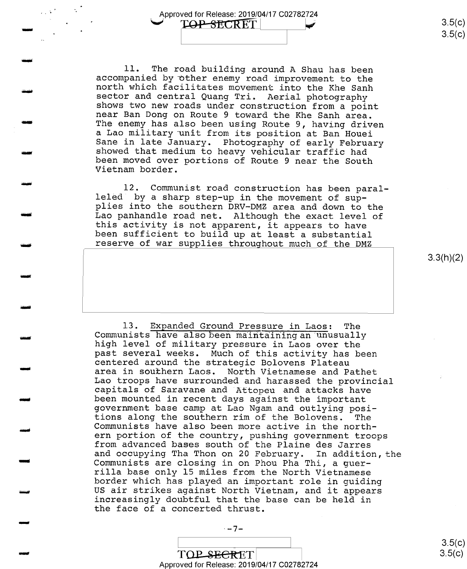Approved for Release: 2019/04/17 C02782724<br>
FOP SECRET

an

ilin müür

With Miller

mu

universität<br>Liittyman

aw

MN

'E

and

mm

uni

and

and

MM

i<br>in de la posta de la posta de la posta de la posta de la posta de la posta de la posta de la posta de la post<br>in de la posta de la posta de la posta de la posta de la posta de la posta de la posta de la posta de la post<br>

.<br>سىسا

i<br>in de la population de la population de la population de la population de la population de la population de<br>in de la population de la population de la population de la population de la population de la population de la

an

11. The road building around A Shau has been<br>accompanied by other enemy road improvement to the<br>north which facilitates movement into the Khe Sanh<br>sector and central Quang Tri. Aerial photography<br>shows two new roads under Sane in late January. Photography of early February<br>showed that medium to heavy vehicular traffic had<br>been moved over portions of Route 9 near the South<br>Vietnam border.

12. Communist road construction has been paral-<br>leled by a sharp step-up in the movement of sup-<br>plies into the southern DRV-DMZ area and down to the<br>Lao panhandle road net. Although the exact level of<br>this activity is not

3.3(h)(2)

13. Expanded Ground Pressure in Laos: The<br>Communists have also been maintaining an unusually<br>high level of military pressure in Laos over the<br>past several weeks. Much of this activity has been<br>centered around the strategic tions along the southern rim of the Bolovens. The<br>Communists have also been more active in the north-<br>ern portion of the country, pushing government troops from advanced bases south of the Plaine des Jarres<br>and occupying Tha Thon on 20 February. In addition, the<br>Communists are closing in on Phou Pha Thi, a guer-<br>rilla base only 15 miles from the North Vietnamese border which has played an important role in guiding<br>US air strikes against North Vietnam, and it appears increasingly doubtful that the base can be held in the face of a concerted thrust.

 $. -7 -$ 

TOP SECRET \ Approved for Release: 2019/04/17 C02782724

 $3.5(c)$  $3.5(c)$ 

 $3.5(c)$  $3.5 (c)$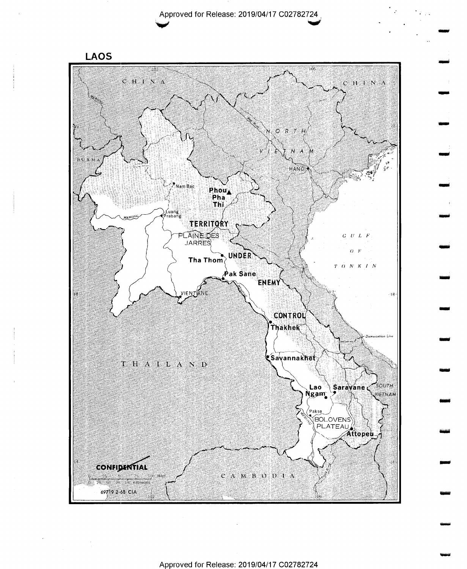Approved for Release: 2019/04/17 C02782724

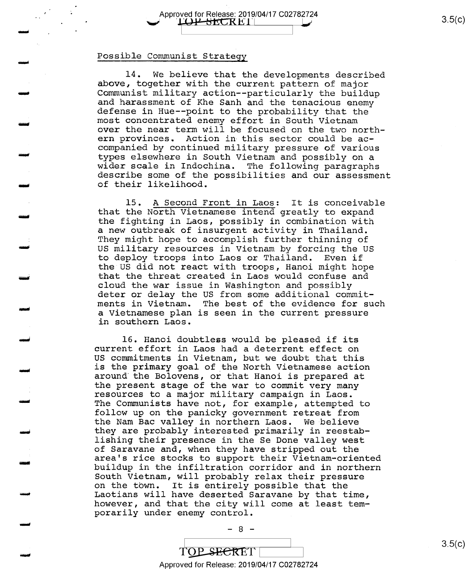Approved for Release: 2019/04/17 C02782724 \uW fil9+LtflICflKtL1\ <u>g</u>

#### Possible Communist Strategy

and

MIN

-MN

ii

MUN

**in and in the contract** 

**ITERATION** 

ian di Serbia.<br>I

Without St

تعسيم

and

أترسنتين<br>أ

**Queen** 

umat

an

Mud

i<br>in 1970<br>in 1970

Mil!

14. We believe that the developments described<br>above, together with the current pattern of major<br>Communist military action--particularly the buildup<br>and harassment of Khe Sanh and the tenacious enemy<br>defense in Hue--point companied by continued military pressure of various<br>types elsewhere in South Vietnam and possibly on a wider scale in Indochina. The following paragraphs describe some of the possibilities and our assessment of their likelihood.

15. A Second Front in Laos: It is conceivable that the North Vietnamese intend greatly to expand the fighting in Laos, possibly in combination with a new outbreak of insurgent activity in Thailand. They might hope to accomplish further thinning of US military resources in Vietnam by forcing the US to deploy troops into Laos or Thailand. Even if the US did not react with troops, Hanoi might hope that the threat created in Laos would confuse and cloud the war issue in Washington and possibly deter or delay the US from some additional commitments in Vietnam. The best of the evidence for such a Vietnamese plan is seen in the current pressure in southern Laos.

16. Hanoi doubtless would be pleased if its current effort in Laos had a deterrent effect on US commitments in Vietnam, but we doubt that this<br>is the primary goal of the North Vietnamese action around the Bolovens, or that Hanoi is prepared at<br>the present stage of the war to commit very many resources to a major military campaign in Laos.<br>The Communists have not, for example, attempted to follow up on the panicky government retreat from the Nam Bac valley in northern Laos. We believe they are probably interested primarily in reestablishing their presence in the Se Done valley west<br>of Saravane and, when they have stripped out the area's rice stocks to support their Vietnam-oriented<br>buildup in the infiltration corridor and in northern South Vietnam, will probably relax their pressure<br>on the town. It is entirely possible that the Laotians will have deserted Saravane by that time, however, and that the city will come at least temporarily under enemy control.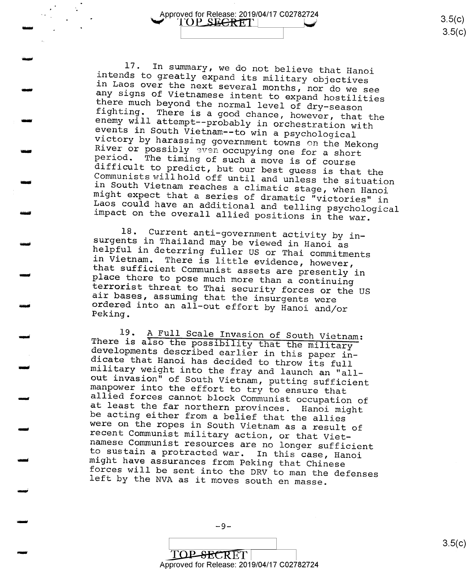Approved for Release: 2019/04/17 C02782724<br>  $\blacksquare$  3.5(c)

ડ.ગ(

 $3.5(c)$ 

 $\blacksquare$ 

MIMI

MM

um

will

Ii

T

ii"

i

%I

uni

.....;

mu

xi

MM

and and state of the second second second second second second second second second second second second second second second second second second second second second second second second second second second second secon

an-u

an

<sup>1/.</sup> In summary, we do not believe that Hanoi<br>intends to greatly expand its military objectives<br>in Laos over the next several months, nor do we see<br>any signs of Vietnamese intent to expand hostilities<br>there much beyond th

18. Current anti-government activity by in-<br>surgents in Thailand may be viewed in Hanoi as<br>helpful in deterring fuller US or Thai commitments<br>in Vietnam. There is little evidence, however,<br>that sufficient Communist assets

19. A Full Scale Invasion of South Vietnam:<br>There is also the possibility that the military<br>developments described earlier in this paper in-<br>dicate that Hanoi has decided to throw its full<br>military weight into the fray an

TOP-SECRET

\ \ Approved for Release: 2019/04/17 C02782724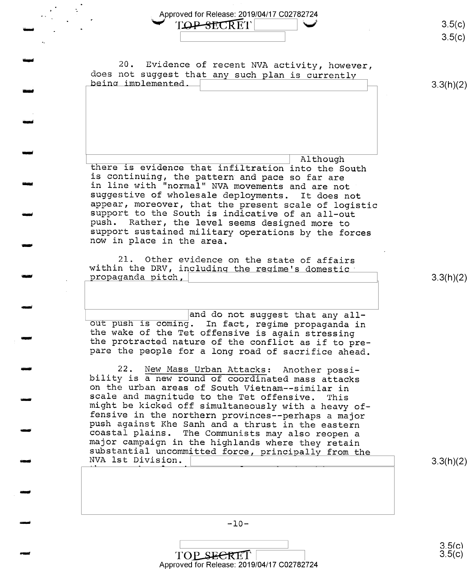Approved for Release: 2019/04/17 C02782724<br>  $\sqrt{LQP-SECRE}$ 

ingari

MW

...;

uni

INN

and

1'

will

uni

an

uni

um

HIM

and

wild

MUN

ii'iinaani

 $3.5(c)$  $3.5(c)$ 

 $3.5(c)$ 

20. Evidence of recent NVA activity, however, does not suggest that any such plan is currently being implemented. Although<br>
is continuing, the pattern and pace so far are<br>
in line with "normal" NVA movements and are not<br>
suggestive of wholesale deployments. It does not<br>
appear, moreover, that the present scale of logistic<br>
support to 21. Other evidence on the state of affairs within the DRV, including the regime's domestic<br>propaganda pitch, and do not suggest that any all-<br>out push is coming. In fact, regime propaganda in<br>the wake of the Tet offensive is again stressing<br>the protracted nature of the conflict as if to pre-<br>pare the people for a long road of sac 22. New Mass Urban Attacks: Another possi-<br>bility is a new round of coordinated mass attacks<br>on the urban areas of South Vietnam--similar in<br>scale and magnitude to the Tet offensive. This<br>might be kicked off simultaneously  $-10-$ 3.3(h)(2) 3.3(h)(2) 3.3(h)(2)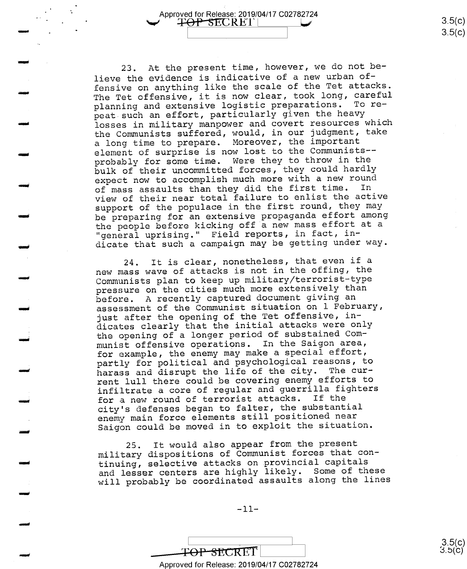Approved for Release: 2019/04/17 C02782724<br>  $\begin{array}{c} \bullet \qquad \qquad \textbf{4.13} \\ \bullet \qquad \qquad \textbf{1.44} \\ \bullet \qquad \qquad \textbf{2.54} \\ \bullet \qquad \qquad \textbf{3.64} \\ \bullet \qquad \qquad \textbf{4.74} \\ \bullet \qquad \qquad \textbf{5.74} \\ \bullet \qquad \qquad \textbf{4.74} \\ \bullet \qquad \qquad \textbf{5.85} \\ \bullet \qquad \qquad \textbf{5.86} \\ \bullet \qquad \qquad$ 

uni

'Ii

ألبزينتك

**income** 

WIN

.<br>س

i

Maui

MM

-WM

......

iiii)

Id

annat

and

23. At the present time, however, we do not be lieve the evidence is indicative of a new urban offensive on anything like the scale of the Tet attacks. The Tet offensive, it is now clear, took long, careful<br>planning and extensive logistic preparations. To replanning and extensive logistic preparations. peat such an effort, particularly given the heavy losses in military manpower and covert resources which the Communists suffered, would, in our judgment, take <sup>a</sup>long time to prepare. Moreover, the important element of surprise is now lost to the Communists— probably for some time. Were they to throw in the bulk of their uncommitted forces, they could hardly expect now to accomplish much more with a new round<br>of mass assaults than they did the first time. In of mass assaults than they did the first time. view of their near total failure to enlist the active support of the populace in the first round, they may be preparing for an extensive propaganda effort among the people before kicking off a new mass effort at a "general uprising." Field reports, in fact, indicate that such a campaign may be getting under way.

24. It is clear, nonetheless, that even if a new mass wave of attacks is not in the offing, the Communists plan to keep up military/terrorist—type pressure on the cities much more extensively than before. A recently captured document giving an assessment of the Communist situation on l February, just after the opening of the Tet offensive, indicates clearly that the initial attacks were only the opening of a longer period of substained Communist offensive operations. In the Saigon area, for example, the enemy may make a special effort, partly for political and psychological reasons, to harass and disrupt the life of the city. The current lull there could be covering enemy efforts to infiltrate a core of regular and guerrilla fighters for a new round of terrorist attacks. If the city's defenses began to falter, the substantial enemy main force elements still positioned near Saigon could be moved in to exploit the situation.

25. It would also appear from the present military dispositions of Communist forces that continuing, selective attacks on.provincial capitals and lesser centers are highly likely. Some of these will probably be coordinated assaults along the lines

 $-11-$ 

 $\mathcal{L} \subset \mathcal{L}$  . The contract of the contract of the contract of the contract of the contract of the contract of the contract of the contract of the contract of the contract of the contract of the contract of the contra <del>TOP SECRET</del>

 $3.5(c)$  $3.5(c)$ 

Approved for Release: 2019/04/17 C02782724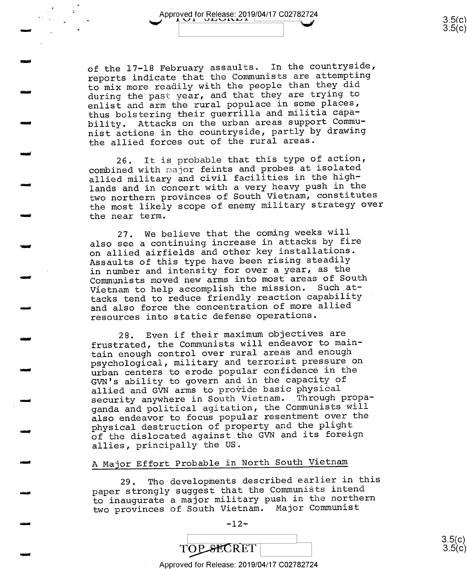Approved for Release: 2019/04/17 C02782724

an

Inn!

Hull

inn

and

MN

and

mm

MAM

mar"

un-

MUN

uni

MN

mm

and

an

and

of the 17-18 February assaults. In the countryside, reports indicate that the Communists are attempting to mix more readily with the people than they did during the past year, and that they are trying to enlist and arm the rural populace in some places, thus bolstering their guerrilla and militia capability. Attacks on the urban areas support Communist actions in the countryside, partly by drawing the allied forces out of the rural areas.

26. It is probable that this type of action, combined with major feints and probes at isolated allied military and civil facilities in the highlands and in concert with a very heavy push in the two northern provinces of South Vietnam, constitutes the most likely scope of enemy military strategy over the near term.

27. We believe that the coming weeks will also see a continuing increase in attacks by fire on allied airfields and other key installations. Assaults of this type have been rising steadily in number and intensity for over a year, as the Communists moved new arms into most areas of South Vietnam to help accomplish the mission. Such attacks tend to reduce friendly reaction capability and also force the concentration of more allied resources into static defense operations.

28. Even if their maximum objectives are frustrated, the Communists will endeavor to maintain enough control over rural areas and enough psychological, military and terrorist pressure on urban centers to erode popular confidence in the GVN's ability to govern and in the capacity of allied and GVN arms to provide basic physical security anywhere in South Vietnam. Through propaganda and political agitation, the Communists will also endeavor to focus popular resentment over the physical destruction of property and the plight of the dislocated against the GVN and its foreign allies, principally the US.

### A Major Effort Probable in North South Vietnam

29. The developments described earlier in this paper strongly suggest that the Communists intend to inaugurate a major military push in the northern two provinces of South Vietnam. Major Communist



 $3.5(r)$ 

Approved for Release: 2019/04/1\_7 C02782724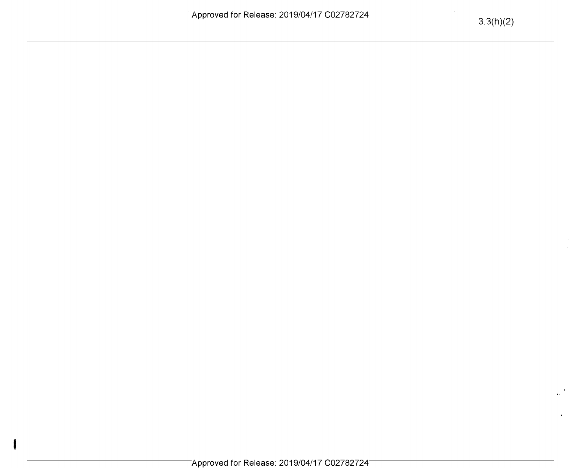$\mathcal{L}^{(N)}$ 

 $\mathcal{A}^{\pm}$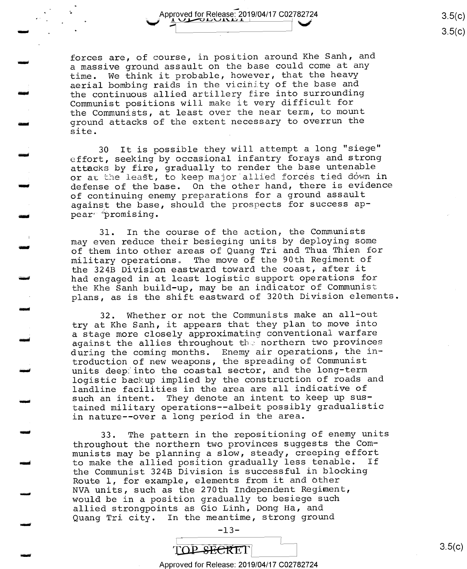

forces are, of course, in position around Khe Sanh, and a massive ground assault on the base could come at any time. We think it probable, however, that the heavy aerial bombing raids in the vicinity of the base and the continuous allied artillery fire into surrounding Communist positions will make it very difficult for the Communists, at least over the near term, to mount ground attacks of the extent necessary to overrun the site.

e<br>En la familia de la familia de la familia de la familia de la familia de la familia de la familia de la famil<br>En la familia de la familia de la familia de la familia de la familia de la familia de la familia de la famil

ing pagpal

Ii

~fl\$

The Company of the Company of the Company of the Company of the Company of the Company of the Company of the Co<br>The Company of the Company of the Company of the Company of the Company of the Company of the Company of the C

أقسمه

Mu

MN

.4

كبيبية

maul

mu

mu

um

munities of the Second Second Second Second Second Second Second Second Second Second Second Second Second Se<br>English Second Second Second Second Second Second Second Second Second Second Second Second Second Second Seco<br>S

was

30 It is possible they will attempt a long "siege" effort, seeking by occasional infantry forays and strong attacks by fire, gradually to render the base untenable or at the least, to keep major allied forces tied down in defense of the base. On the other hand, there is evidence of continuing enemy preparations for a ground assault against the base, should the prospects for success appear""promising.

31. In the course of the action, the Communists may even reduce their besieging units by deploying some of them into other areas of Quang Tri and Thua Thien for military operations. The move of the 90th Regiment of the 324B Division eastward toward the coast, after it had engaged in at least logistic support operations for the Khe Sanh build-up, may be an indicator of Communist plans, as is the shift eastward of 320th Division elements.

32. Whether or not the Communists make an all—out try at Khe Sanh, it appears that they plan to move into a stage more closely approximating conventional warfare against the allies throughout the northern two provinces during the coming months. Enemy air operations, the in~ troduction of new weapons, the spreading of Communist units deep into the coastal sector, and the long-term logistic backup implied by the construction of roads and landline facilities in the area are all indicative of such an intent. They denote an intent to keep up sustained military operations-—albeit possibly gradualistic in nature--over a long period in the area.

33. The pattern in the repositioning of enemy units throughout the northern two provinces suggests the Communists may be planning a slow, steady, creeping effort<br>to make the allied position gradually less tenable. If to make the allied position gradually less tenable. the Communist 324B Division is successful in blocking Route l, for example, elements from it and other NVA units, such as the 270th Independent Regiment, would be in a position gradually to besiege such allied strongpoints as Gio Linh, Dong Ha, and Quang Tri city. In the meantime, strong ground



Approved for Release: 2019/04/17 C02782724

<u>၁.၁</u>(C <u>კ 5(C</u>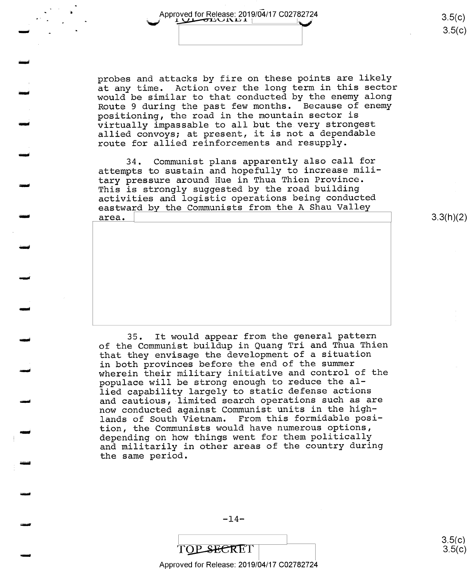Approved for Release: 2019/04/17 C02782724 "T

um

mini

....

تسم

ألبيبت

Mal

mu

an

mu

uni

-mull

wand

maul

-an

mu

HUI

'Ii

 $3.5(c)$  $3.5(c)$ 

probes and attacks by fire on these points are likely at any time. Action over the long term in this sector would be similar to that conducted by the enemy along Route 9 during the past few months. Because of enemy positioning, the road in the mountain sector is virtually impassable to all but the very strongest allied convoys; at present, it is not a dependable route for allied reinforcements and resupply.

attempts to sustain and hopefully to increase military pressure around Hue in Thua Thien Province This is strongly suggested by the road building activities and logistic operations being conducted eastward by the Communists from the A Shau Valley 34. Communist plans apparently also call for

area.

35. It would appear from the general pattern of the Communist buildup in Quang Tri and Thua Thien that they envisage the development of a situation in both provinces before the end of the summer wherein their military initiative and control of the populace will be strong enough to reduce the allied capability largely to static defense actions and cautious, limited search operations such as are now conducted against Communist units in the high lands of South Vietnam. From this formidable position, the Communists would have numerous options, depending on how things went for them politically and militarily in other areas of the country during the same period.

 $-14-$ 



 $3.5(c)$  $3.5(c)$ 

3.3(h)(2)